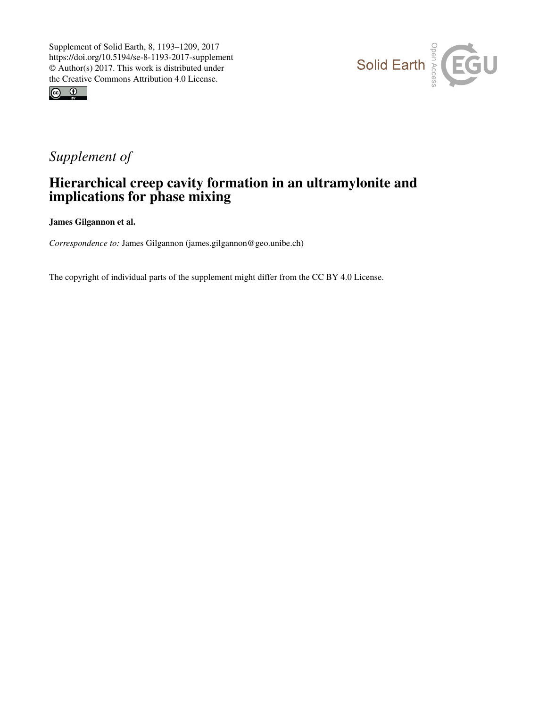



## *Supplement of*

## Hierarchical creep cavity formation in an ultramylonite and implications for phase mixing

James Gilgannon et al.

*Correspondence to:* James Gilgannon (james.gilgannon@geo.unibe.ch)

The copyright of individual parts of the supplement might differ from the CC BY 4.0 License.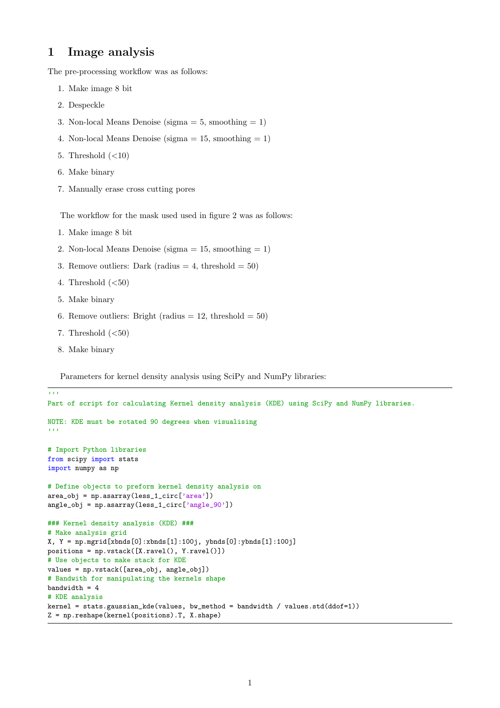## 1 Image analysis

The pre-processing workflow was as follows:

- 1. Make image 8 bit
- 2. Despeckle
- 3. Non-local Means Denoise (sigma  $= 5$ , smoothing  $= 1$ )
- 4. Non-local Means Denoise (sigma  $= 15$ , smoothing  $= 1$ )
- 5. Threshold  $(<10)$
- 6. Make binary
- 7. Manually erase cross cutting pores

The workflow for the mask used used in figure 2 was as follows:

- 1. Make image 8 bit
- 2. Non-local Means Denoise (sigma  $= 15$ , smoothing  $= 1$ )
- 3. Remove outliers: Dark (radius  $= 4$ , threshold  $= 50$ )
- 4. Threshold  $(<50)$
- 5. Make binary
- 6. Remove outliers: Bright (radius  $= 12$ , threshold  $= 50$ )
- 7. Threshold  $(*50*)$
- 8. Make binary

Parameters for kernel density analysis using SciPy and NumPy libraries:

```
, , ,
Part of script for calculating Kernel density analysis (KDE) using SciPy and NumPy libraries.
NOTE: KDE must be rotated 90 degrees when visualising
'''
# Import Python libraries
from scipy import stats
import numpy as np
# Define objects to preform kernel density analysis on
area_obj = np.asarray(less_1_circ['area'])
angle_obj = np.asarray(less_1\_circ['angle_90'])### Kernel density analysis (KDE) ###
# Make analysis grid
X, Y = np.mgrid[xbnds[0]:xbnds[1]:100j, ybnds[0]:ybnds[1]:100j]positions = np.vstack([X.ravel(), Y.ravel()])
# Use objects to make stack for KDE
values = np.vstack([area_obj, angle_obj])
# Bandwith for manipulating the kernels shape
bandwidth = 4# KDE analysis
kernel = stats.gaussian_kde(values, bw_method = bandwidth / values.std(ddof=1))
Z = np.reshape(kernel(positions).T, X.shape)
```